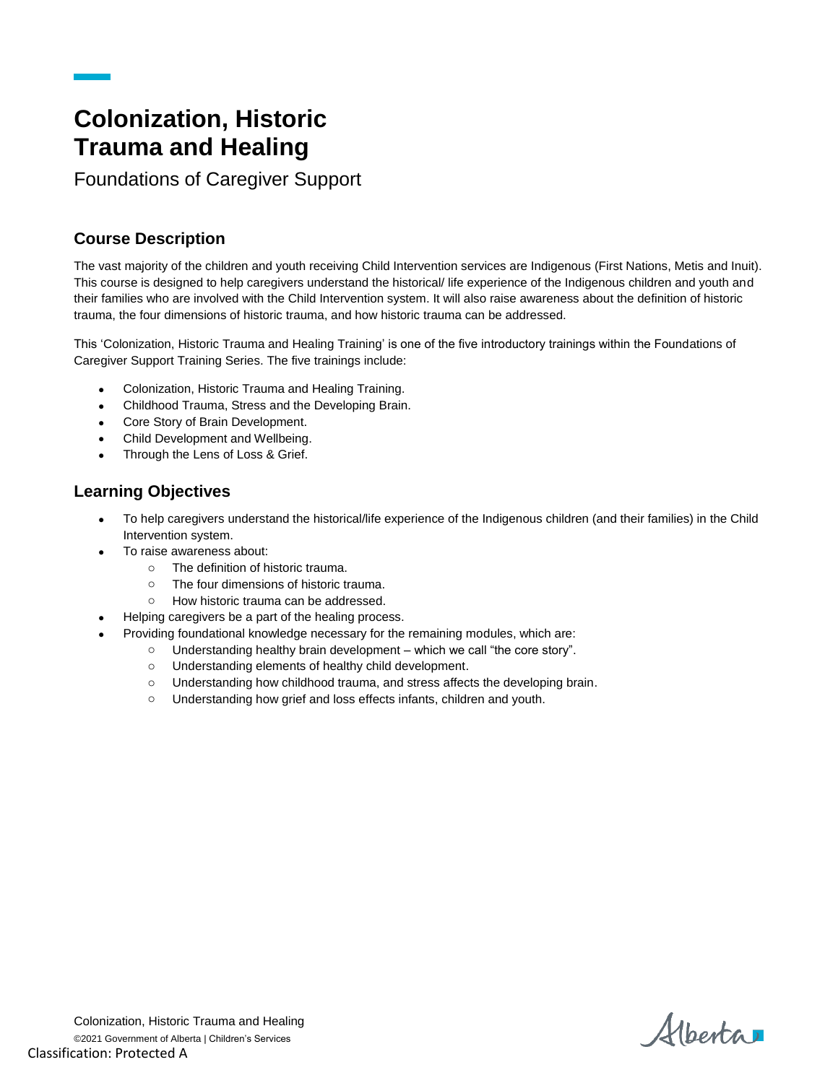# **Colonization, Historic Trauma and Healing**

Foundations of Caregiver Support

#### **Course Description**

The vast majority of the children and youth receiving Child Intervention services are Indigenous (First Nations, Metis and Inuit). This course is designed to help caregivers understand the historical/ life experience of the Indigenous children and youth and their families who are involved with the Child Intervention system. It will also raise awareness about the definition of historic trauma, the four dimensions of historic trauma, and how historic trauma can be addressed.

This 'Colonization, Historic Trauma and Healing Training' is one of the five introductory trainings within the Foundations of Caregiver Support Training Series. The five trainings include:

- Colonization, Historic Trauma and Healing Training.
- Childhood Trauma, Stress and the Developing Brain.
- Core Story of Brain Development.
- Child Development and Wellbeing.
- Through the Lens of Loss & Grief.

#### **Learning Objectives**

- To help caregivers understand the historical/life experience of the Indigenous children (and their families) in the Child Intervention system.
- To raise awareness about:
	- o The definition of historic trauma.
	- o The four dimensions of historic trauma.
	- o How historic trauma can be addressed.
- Helping caregivers be a part of the healing process.
- Providing foundational knowledge necessary for the remaining modules, which are:
	- o Understanding healthy brain development which we call "the core story".
		- o Understanding elements of healthy child development.
		- o Understanding how childhood trauma, and stress affects the developing brain.
		- o Understanding how grief and loss effects infants, children and youth.

Alberta